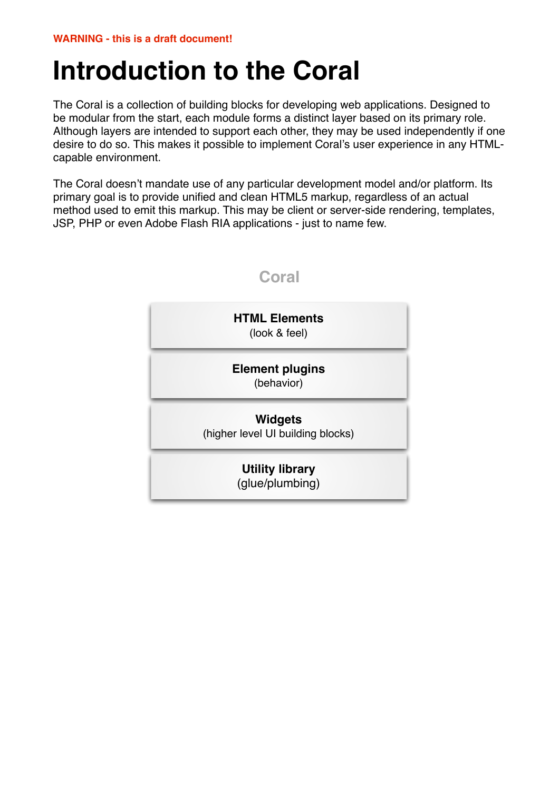# **Introduction to the Coral**

The Coral is a collection of building blocks for developing web applications. Designed to be modular from the start, each module forms a distinct layer based on its primary role. Although layers are intended to support each other, they may be used independently if one desire to do so. This makes it possible to implement Coral's user experience in any HTMLcapable environment.

The Coral doesn't mandate use of any particular development model and/or platform. Its primary goal is to provide unified and clean HTML5 markup, regardless of an actual method used to emit this markup. This may be client or server-side rendering, templates, JSP, PHP or even Adobe Flash RIA applications - just to name few.

| <b>HTML Elements</b><br>(look & feel)               |
|-----------------------------------------------------|
| <b>Element plugins</b><br>(behavior)                |
| <b>Widgets</b><br>(higher level UI building blocks) |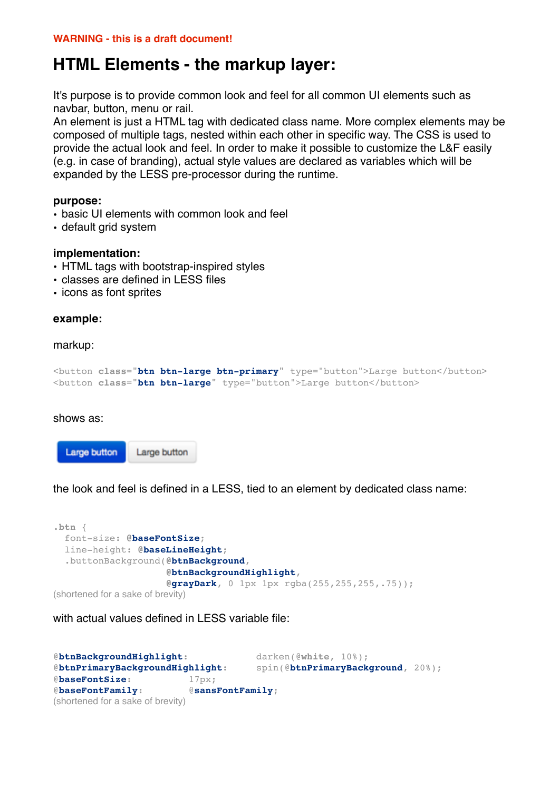# **HTML Elements - the markup layer:**

It's purpose is to provide common look and feel for all common UI elements such as navbar, button, menu or rail.

An element is just a HTML tag with dedicated class name. More complex elements may be composed of multiple tags, nested within each other in specific way. The CSS is used to provide the actual look and feel. In order to make it possible to customize the L&F easily (e.g. in case of branding), actual style values are declared as variables which will be expanded by the LESS pre-processor during the runtime.

#### **purpose:**

- basic UI elements with common look and feel
- default grid system

#### **implementation:**

- HTML tags with bootstrap-inspired styles
- classes are defined in LESS files
- icons as font sprites

#### **example:**

#### markup:

```
<button class="btn btn-large btn-primary" type="button">Large button</button>
<button class="btn btn-large" type="button">Large button</button>
```
shows as:



the look and feel is defined in a LESS, tied to an element by dedicated class name:

```
.btn {
   font-size: @baseFontSize;
   line-height: @baseLineHeight;
   .buttonBackground(@btnBackground, 
                       @btnBackgroundHighlight, 
                      @grayDark, 0 1px 1px rgba(255,255,255,.75));
(shortened for a sake of brevity)
```
with actual values defined in LESS variable file:

```
@btnBackgroundHighlight: darken(@white, 10%);
@btnPrimaryBackgroundHighlight: spin(@btnPrimaryBackground, 20%);
@baseFontSize: 17px;
@baseFontFamily: @sansFontFamily;
(shortened for a sake of brevity)
```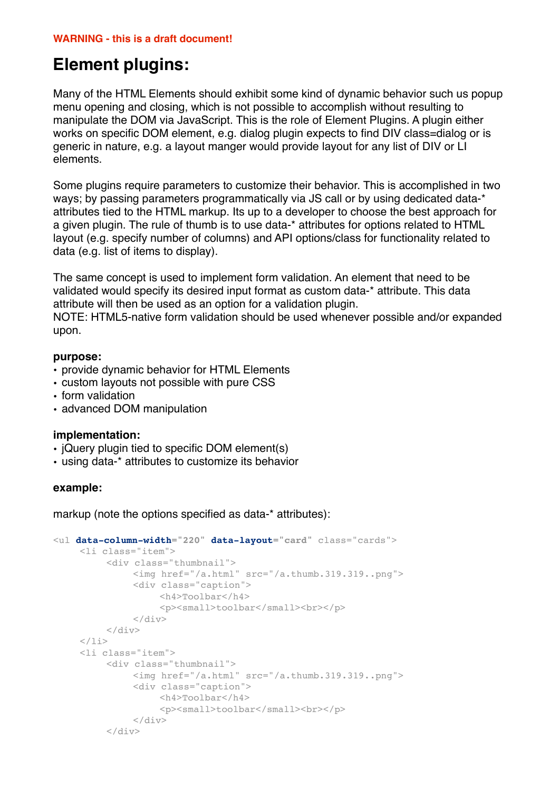# **Element plugins:**

Many of the HTML Elements should exhibit some kind of dynamic behavior such us popup menu opening and closing, which is not possible to accomplish without resulting to manipulate the DOM via JavaScript. This is the role of Element Plugins. A plugin either works on specific DOM element, e.g. dialog plugin expects to find DIV class=dialog or is generic in nature, e.g. a layout manger would provide layout for any list of DIV or LI elements.

Some plugins require parameters to customize their behavior. This is accomplished in two ways; by passing parameters programmatically via JS call or by using dedicated data-\* attributes tied to the HTML markup. Its up to a developer to choose the best approach for a given plugin. The rule of thumb is to use data-\* attributes for options related to HTML layout (e.g. specify number of columns) and API options/class for functionality related to data (e.g. list of items to display).

The same concept is used to implement form validation. An element that need to be validated would specify its desired input format as custom data-\* attribute. This data attribute will then be used as an option for a validation plugin.

NOTE: HTML5-native form validation should be used whenever possible and/or expanded upon.

## **purpose:**

- provide dynamic behavior for HTML Elements
- custom layouts not possible with pure CSS
- form validation
- advanced DOM manipulation

# **implementation:**

- jQuery plugin tied to specific DOM element(s)
- using data-\* attributes to customize its behavior

## **example:**

markup (note the options specified as data-\* attributes):

```
<ul data-column-width="220" data-layout="card" class="cards">
     <li class="item">
          <div class="thumbnail">
                !!! <img href="/a.html" src="/a.thumb.319.319..png">
                <div class="caption">
                    !!!! <h4>Toolbar</h4>
                     <p><small>toolbar</small><br></p>
                \langlediv>
          \langlediv>
     \langle/li><li class="item">
          ! ! <div class="thumbnail">
               !!! <img href="/a.html" src="/a.thumb.319.319..png">
               <div class="caption">
                     !!!! <h4>Toolbar</h4>
                     <p><small>toolbar</small><br>></p>
               \langlediv>
          \langle div>
```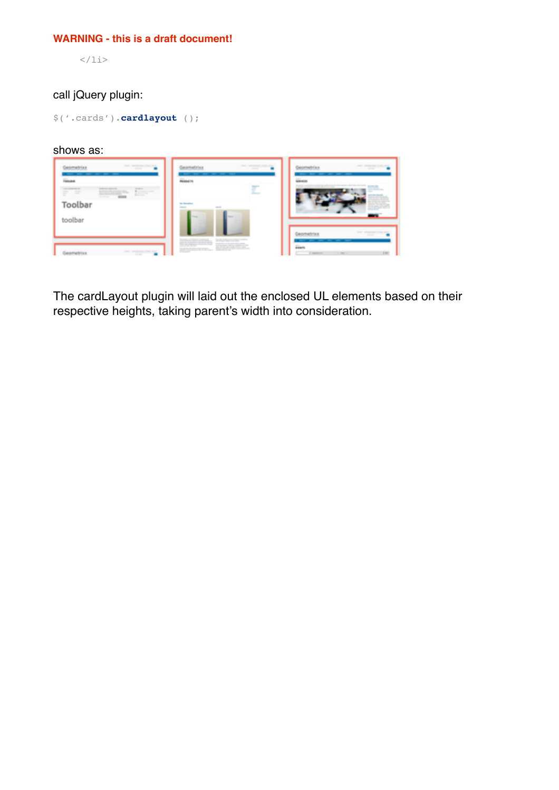### **WARNING - this is a draft document!**

 $\langle$ /li $>$ 

# call jQuery plugin:

\$('.cards').**cardlayout** ();

## shows as:

| taker and provided at the start.<br><b>SEAR</b><br>٠                                                     | and services of the right<br><b>The Age</b>   | and compared the state<br><b>Single</b>                                                                                 |
|----------------------------------------------------------------------------------------------------------|-----------------------------------------------|-------------------------------------------------------------------------------------------------------------------------|
| <b>Google</b><br><b>STATE</b><br>------<br>$=$<br><b>Barnett</b><br>÷<br>mannumstritt<br>----<br>Toolbar | mount is<br>----<br><b>And Secretary</b><br>- | <b>STRAKTOR</b>                                                                                                         |
| toolbar<br><b>SEAT ARTISTICS AND ROLL</b><br><b><i><i><u>ARAMENTER</u></i></i></b>                       | <b>The City</b><br>Walterstown, MARGARITA     | special compensation of their states<br><b>Service</b><br>--------<br><b>External</b><br>134<br>3 Months<br>to the con- |

The cardLayout plugin will laid out the enclosed UL elements based on their respective heights, taking parent's width into consideration.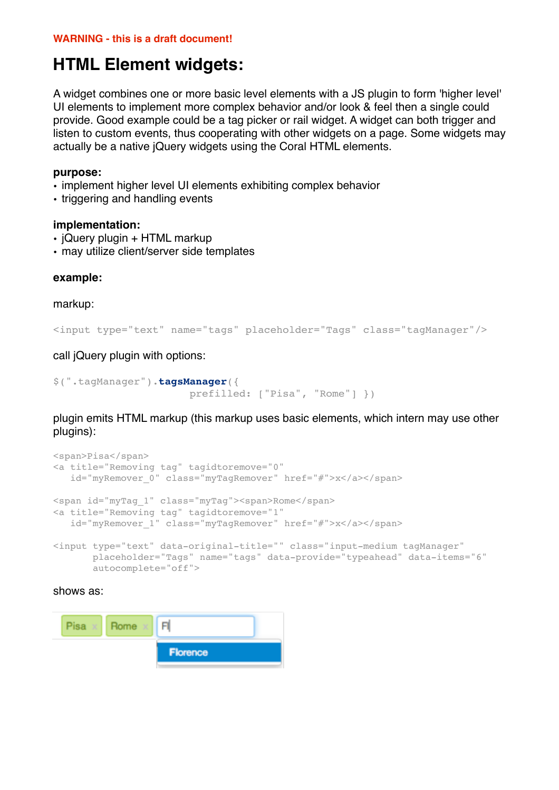# **HTML Element widgets:**

A widget combines one or more basic level elements with a JS plugin to form 'higher level' UI elements to implement more complex behavior and/or look & feel then a single could provide. Good example could be a tag picker or rail widget. A widget can both trigger and listen to custom events, thus cooperating with other widgets on a page. Some widgets may actually be a native jQuery widgets using the Coral HTML elements.

#### **purpose:**

- implement higher level UI elements exhibiting complex behavior
- triggering and handling events

#### **implementation:**

- jQuery plugin + HTML markup
- may utilize client/server side templates

#### **example:**

markup:

```
<input type="text" name="tags" placeholder="Tags" class="tagManager"/>
```
call jQuery plugin with options:

```
$(".tagManager").tagsManager({
                       prefilled: ["Pisa", "Rome"] })
```
plugin emits HTML markup (this markup uses basic elements, which intern may use other plugins):

```
<span>Pisa</span>
<a title="Removing tag" tagidtoremove="0" 
   id="myRemover_0" class="myTagRemover" href="#">x</a></span>
<span id="myTag_1" class="myTag"><span>Rome</span>
<a title="Removing tag" tagidtoremove="1" 
   id="myRemover 1" class="myTagRemover" href="#">x</a></span>
```

```
<input type="text" data-original-title="" class="input-medium tagManager"
        placeholder="Tags" name="tags" data-provide="typeahead" data-items="6"
        autocomplete="off">
```
# shows as: